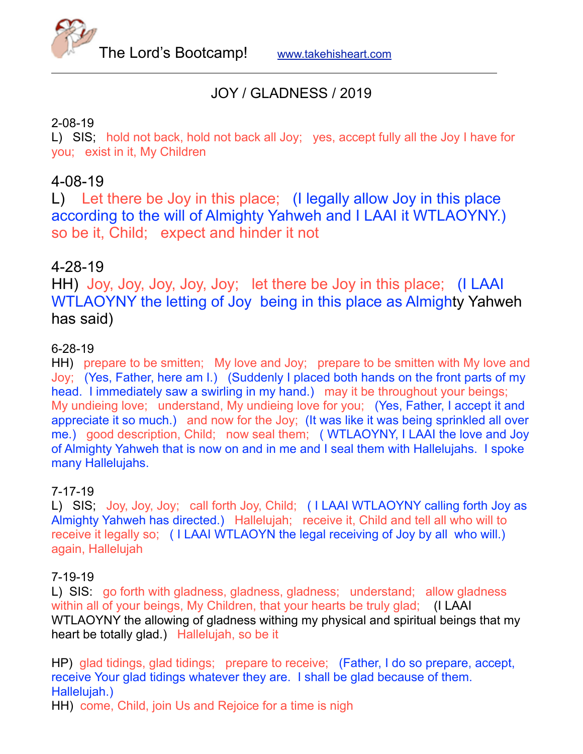

# JOY / GLADNESS / 2019

#### 2-08-19

L) SIS; hold not back, hold not back all Joy; yes, accept fully all the Joy I have for you; exist in it, My Children

# 4-08-19

L) Let there be Joy in this place; (I legally allow Joy in this place according to the will of Almighty Yahweh and I LAAI it WTLAOYNY.) so be it, Child; expect and hinder it not

# 4-28-19

HH) Joy, Joy, Joy, Joy, Joy; let there be Joy in this place; (I LAAI WTLAOYNY the letting of Joy being in this place as Almighty Yahweh has said)

#### 6-28-19

HH) prepare to be smitten; My love and Joy; prepare to be smitten with My love and Joy; (Yes, Father, here am I.) (Suddenly I placed both hands on the front parts of my head. I immediately saw a swirling in my hand.) may it be throughout your beings; My undieing love; understand, My undieing love for you; (Yes, Father, I accept it and appreciate it so much.) and now for the Joy; (It was like it was being sprinkled all over me.) good description, Child; now seal them; (WTLAOYNY, I LAAI the love and Joy of Almighty Yahweh that is now on and in me and I seal them with Hallelujahs. I spoke many Hallelujahs.

#### 7-17-19

L) SIS; Joy, Joy, Joy; call forth Joy, Child; ( I LAAI WTLAOYNY calling forth Joy as Almighty Yahweh has directed.) Hallelujah; receive it, Child and tell all who will to receive it legally so; ( I LAAI WTLAOYN the legal receiving of Joy by all who will.) again, Hallelujah

#### 7-19-19

L) SIS: go forth with gladness, gladness, gladness; understand; allow gladness within all of your beings, My Children, that your hearts be truly glad; (I LAAI WTLAOYNY the allowing of gladness withing my physical and spiritual beings that my heart be totally glad.) Hallelujah, so be it

HP) glad tidings, glad tidings; prepare to receive; (Father, I do so prepare, accept, receive Your glad tidings whatever they are. I shall be glad because of them. Hallelujah.)

HH) come, Child, join Us and Rejoice for a time is nigh